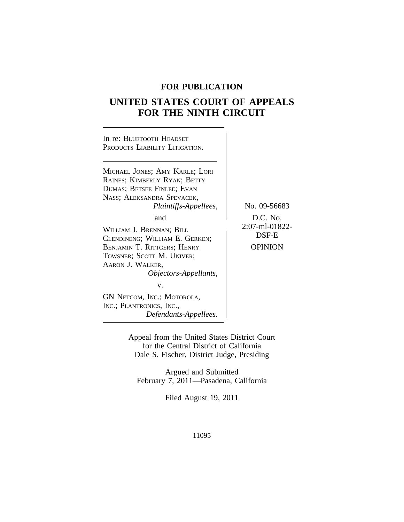# **FOR PUBLICATION**

# **UNITED STATES COURT OF APPEALS FOR THE NINTH CIRCUIT**



Appeal from the United States District Court for the Central District of California Dale S. Fischer, District Judge, Presiding

Argued and Submitted February 7, 2011—Pasadena, California

Filed August 19, 2011

11095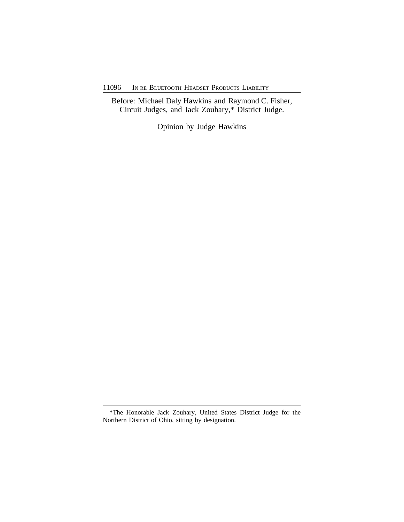11096 IN RE BLUETOOTH HEADSET PRODUCTS LIABILITY

Before: Michael Daly Hawkins and Raymond C. Fisher, Circuit Judges, and Jack Zouhary,\* District Judge.

Opinion by Judge Hawkins

<sup>\*</sup>The Honorable Jack Zouhary, United States District Judge for the Northern District of Ohio, sitting by designation.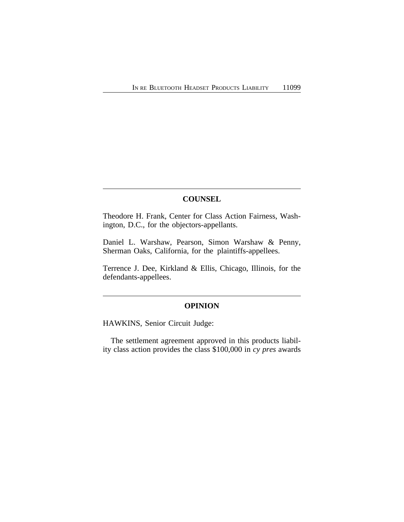## **COUNSEL**

Theodore H. Frank, Center for Class Action Fairness, Washington, D.C., for the objectors-appellants.

Daniel L. Warshaw, Pearson, Simon Warshaw & Penny, Sherman Oaks, California, for the plaintiffs-appellees.

Terrence J. Dee, Kirkland & Ellis, Chicago, Illinois, for the defendants-appellees.

# **OPINION**

HAWKINS, Senior Circuit Judge:

The settlement agreement approved in this products liability class action provides the class \$100,000 in *cy pres* awards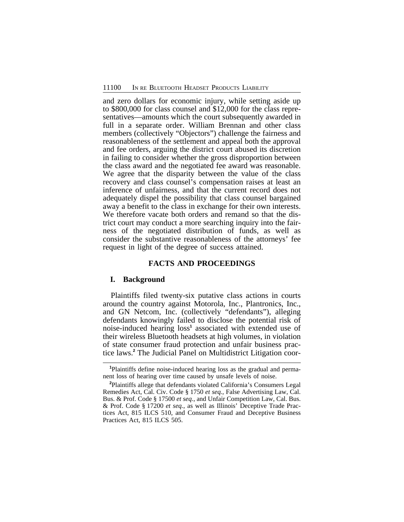and zero dollars for economic injury, while setting aside up to \$800,000 for class counsel and \$12,000 for the class representatives—amounts which the court subsequently awarded in full in a separate order. William Brennan and other class members (collectively "Objectors") challenge the fairness and reasonableness of the settlement and appeal both the approval and fee orders, arguing the district court abused its discretion in failing to consider whether the gross disproportion between the class award and the negotiated fee award was reasonable. We agree that the disparity between the value of the class recovery and class counsel's compensation raises at least an inference of unfairness, and that the current record does not adequately dispel the possibility that class counsel bargained away a benefit to the class in exchange for their own interests. We therefore vacate both orders and remand so that the district court may conduct a more searching inquiry into the fairness of the negotiated distribution of funds, as well as consider the substantive reasonableness of the attorneys' fee request in light of the degree of success attained.

## **FACTS AND PROCEEDINGS**

#### **I. Background**

Plaintiffs filed twenty-six putative class actions in courts around the country against Motorola, Inc., Plantronics, Inc., and GN Netcom, Inc. (collectively "defendants"), alleging defendants knowingly failed to disclose the potential risk of noise-induced hearing loss**<sup>1</sup>** associated with extended use of their wireless Bluetooth headsets at high volumes, in violation of state consumer fraud protection and unfair business practice laws.**<sup>2</sup>** The Judicial Panel on Multidistrict Litigation coor-

**<sup>1</sup>**Plaintiffs define noise-induced hearing loss as the gradual and permanent loss of hearing over time caused by unsafe levels of noise.

**<sup>2</sup>**Plaintiffs allege that defendants violated California's Consumers Legal Remedies Act, Cal. Civ. Code § 1750 *et seq.*, False Advertising Law, Cal. Bus. & Prof. Code § 17500 *et seq.*, and Unfair Competition Law, Cal. Bus. & Prof. Code § 17200 *et seq.*, as well as Illinois' Deceptive Trade Practices Act, 815 ILCS 510, and Consumer Fraud and Deceptive Business Practices Act, 815 ILCS 505.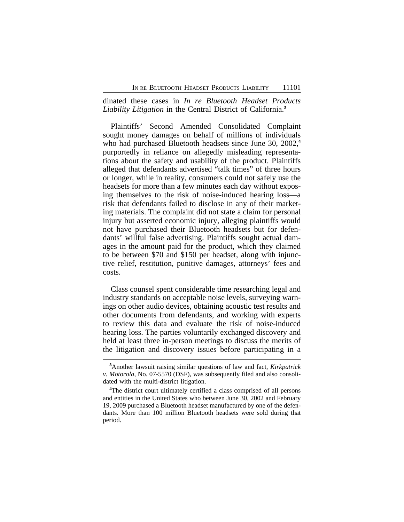dinated these cases in *In re Bluetooth Headset Products Liability Litigation* in the Central District of California.**<sup>3</sup>**

Plaintiffs' Second Amended Consolidated Complaint sought money damages on behalf of millions of individuals who had purchased Bluetooth headsets since June 30, 2002,**<sup>4</sup>** purportedly in reliance on allegedly misleading representations about the safety and usability of the product. Plaintiffs alleged that defendants advertised "talk times" of three hours or longer, while in reality, consumers could not safely use the headsets for more than a few minutes each day without exposing themselves to the risk of noise-induced hearing loss—a risk that defendants failed to disclose in any of their marketing materials. The complaint did not state a claim for personal injury but asserted economic injury, alleging plaintiffs would not have purchased their Bluetooth headsets but for defendants' willful false advertising. Plaintiffs sought actual damages in the amount paid for the product, which they claimed to be between \$70 and \$150 per headset, along with injunctive relief, restitution, punitive damages, attorneys' fees and costs.

Class counsel spent considerable time researching legal and industry standards on acceptable noise levels, surveying warnings on other audio devices, obtaining acoustic test results and other documents from defendants, and working with experts to review this data and evaluate the risk of noise-induced hearing loss. The parties voluntarily exchanged discovery and held at least three in-person meetings to discuss the merits of the litigation and discovery issues before participating in a

**<sup>3</sup>**Another lawsuit raising similar questions of law and fact, *Kirkpatrick v. Motorola*, No. 07-5570 (DSF), was subsequently filed and also consolidated with the multi-district litigation.

**<sup>4</sup>**The district court ultimately certified a class comprised of all persons and entities in the United States who between June 30, 2002 and February 19, 2009 purchased a Bluetooth headset manufactured by one of the defendants. More than 100 million Bluetooth headsets were sold during that period.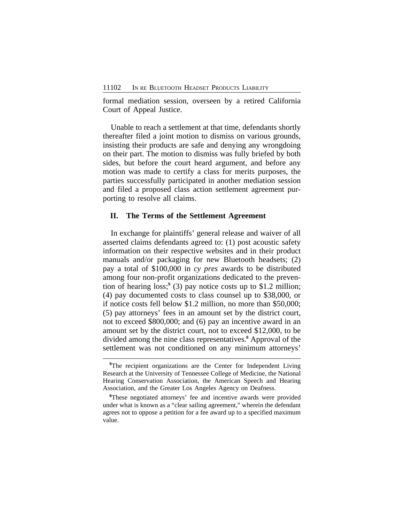formal mediation session, overseen by a retired California Court of Appeal Justice.

Unable to reach a settlement at that time, defendants shortly thereafter filed a joint motion to dismiss on various grounds, insisting their products are safe and denying any wrongdoing on their part. The motion to dismiss was fully briefed by both sides, but before the court heard argument, and before any motion was made to certify a class for merits purposes, the parties successfully participated in another mediation session and filed a proposed class action settlement agreement purporting to resolve all claims.

## **II. The Terms of the Settlement Agreement**

In exchange for plaintiffs' general release and waiver of all asserted claims defendants agreed to: (1) post acoustic safety information on their respective websites and in their product manuals and/or packaging for new Bluetooth headsets; (2) pay a total of \$100,000 in *cy pres* awards to be distributed among four non-profit organizations dedicated to the prevention of hearing loss;**<sup>5</sup>** (3) pay notice costs up to \$1.2 million; (4) pay documented costs to class counsel up to \$38,000, or if notice costs fell below \$1.2 million, no more than \$50,000; (5) pay attorneys' fees in an amount set by the district court, not to exceed \$800,000; and (6) pay an incentive award in an amount set by the district court, not to exceed \$12,000, to be divided among the nine class representatives.<sup>6</sup> Approval of the settlement was not conditioned on any minimum attorneys'

**<sup>5</sup>**The recipient organizations are the Center for Independent Living Research at the University of Tennessee College of Medicine, the National Hearing Conservation Association, the American Speech and Hearing Association, and the Greater Los Angeles Agency on Deafness.

**<sup>6</sup>**These negotiated attorneys' fee and incentive awards were provided under what is known as a "clear sailing agreement," wherein the defendant agrees not to oppose a petition for a fee award up to a specified maximum value.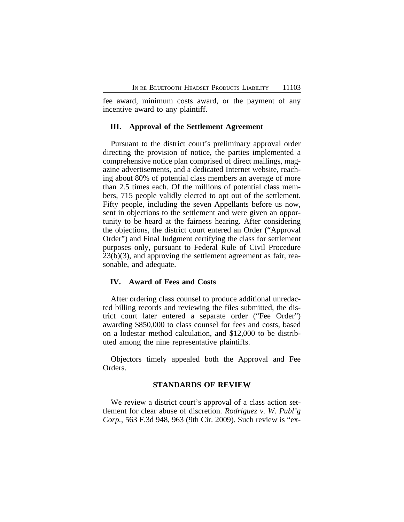fee award, minimum costs award, or the payment of any incentive award to any plaintiff.

#### **III. Approval of the Settlement Agreement**

Pursuant to the district court's preliminary approval order directing the provision of notice, the parties implemented a comprehensive notice plan comprised of direct mailings, magazine advertisements, and a dedicated Internet website, reaching about 80% of potential class members an average of more than 2.5 times each. Of the millions of potential class members, 715 people validly elected to opt out of the settlement. Fifty people, including the seven Appellants before us now, sent in objections to the settlement and were given an opportunity to be heard at the fairness hearing. After considering the objections, the district court entered an Order ("Approval Order") and Final Judgment certifying the class for settlement purposes only, pursuant to Federal Rule of Civil Procedure 23(b)(3), and approving the settlement agreement as fair, reasonable, and adequate.

#### **IV. Award of Fees and Costs**

After ordering class counsel to produce additional unredacted billing records and reviewing the files submitted, the district court later entered a separate order ("Fee Order") awarding \$850,000 to class counsel for fees and costs, based on a lodestar method calculation, and \$12,000 to be distributed among the nine representative plaintiffs.

Objectors timely appealed both the Approval and Fee Orders.

#### **STANDARDS OF REVIEW**

We review a district court's approval of a class action settlement for clear abuse of discretion. *Rodriguez v. W. Publ'g Corp.*, 563 F.3d 948, 963 (9th Cir. 2009). Such review is "ex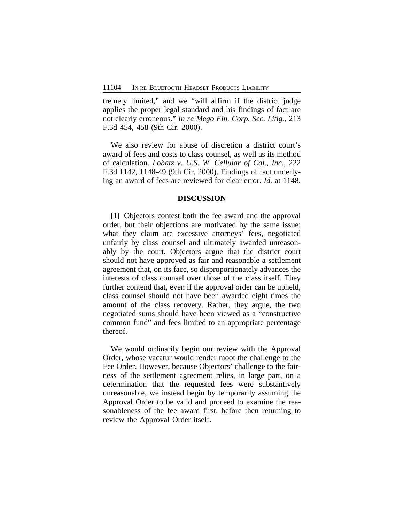tremely limited," and we "will affirm if the district judge applies the proper legal standard and his findings of fact are not clearly erroneous." *In re Mego Fin. Corp. Sec. Litig.*, 213 F.3d 454, 458 (9th Cir. 2000).

We also review for abuse of discretion a district court's award of fees and costs to class counsel, as well as its method of calculation. *Lobatz v. U.S. W. Cellular of Cal., Inc.*, 222 F.3d 1142, 1148-49 (9th Cir. 2000). Findings of fact underlying an award of fees are reviewed for clear error. *Id.* at 1148.

#### **DISCUSSION**

**[1]** Objectors contest both the fee award and the approval order, but their objections are motivated by the same issue: what they claim are excessive attorneys' fees, negotiated unfairly by class counsel and ultimately awarded unreasonably by the court. Objectors argue that the district court should not have approved as fair and reasonable a settlement agreement that, on its face, so disproportionately advances the interests of class counsel over those of the class itself. They further contend that, even if the approval order can be upheld, class counsel should not have been awarded eight times the amount of the class recovery. Rather, they argue, the two negotiated sums should have been viewed as a "constructive common fund" and fees limited to an appropriate percentage thereof.

We would ordinarily begin our review with the Approval Order, whose vacatur would render moot the challenge to the Fee Order. However, because Objectors' challenge to the fairness of the settlement agreement relies, in large part, on a determination that the requested fees were substantively unreasonable, we instead begin by temporarily assuming the Approval Order to be valid and proceed to examine the reasonableness of the fee award first, before then returning to review the Approval Order itself.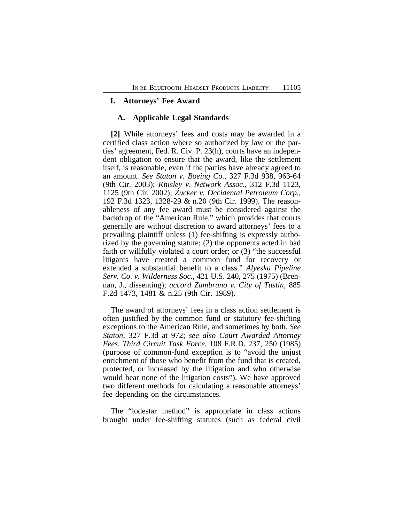### **I. Attorneys' Fee Award**

#### **A. Applicable Legal Standards**

**[2]** While attorneys' fees and costs may be awarded in a certified class action where so authorized by law or the parties' agreement, Fed. R. Civ. P. 23(h), courts have an independent obligation to ensure that the award, like the settlement itself, is reasonable, even if the parties have already agreed to an amount. *See Staton v. Boeing Co.*, 327 F.3d 938, 963-64 (9th Cir. 2003); *Knisley v. Network Assoc.*, 312 F.3d 1123, 1125 (9th Cir. 2002); *Zucker v. Occidental Petroleum Corp.*, 192 F.3d 1323, 1328-29 & n.20 (9th Cir. 1999). The reasonableness of any fee award must be considered against the backdrop of the "American Rule," which provides that courts generally are without discretion to award attorneys' fees to a prevailing plaintiff unless (1) fee-shifting is expressly authorized by the governing statute; (2) the opponents acted in bad faith or willfully violated a court order; or (3) "the successful litigants have created a common fund for recovery or extended a substantial benefit to a class." *Alyeska Pipeline Serv. Co. v. Wilderness Soc.*, 421 U.S. 240, 275 (1975) (Brennan, J., dissenting); *accord Zambrano v. City of Tustin*, 885 F.2d 1473, 1481 & n.25 (9th Cir. 1989).

The award of attorneys' fees in a class action settlement is often justified by the common fund or statutory fee-shifting exceptions to the American Rule, and sometimes by both. *See Staton*, 327 F.3d at 972; *see also Court Awarded Attorney Fees, Third Circuit Task Force*, 108 F.R.D. 237, 250 (1985) (purpose of common-fund exception is to "avoid the unjust enrichment of those who benefit from the fund that is created, protected, or increased by the litigation and who otherwise would bear none of the litigation costs"). We have approved two different methods for calculating a reasonable attorneys' fee depending on the circumstances.

The "lodestar method" is appropriate in class actions brought under fee-shifting statutes (such as federal civil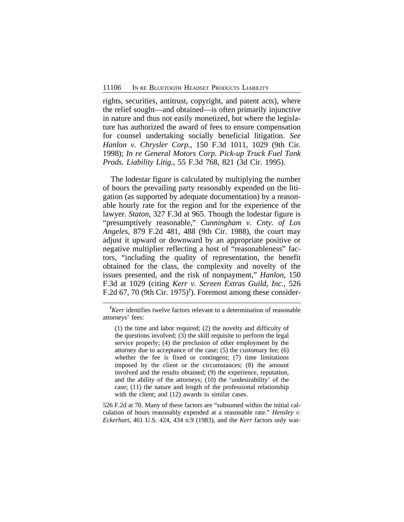rights, securities, antitrust, copyright, and patent acts), where the relief sought—and obtained—is often primarily injunctive in nature and thus not easily monetized, but where the legislature has authorized the award of fees to ensure compensation for counsel undertaking socially beneficial litigation. *See Hanlon v. Chrysler Corp.*, 150 F.3d 1011, 1029 (9th Cir. 1998); *In re General Motors Corp. Pick-up Truck Fuel Tank Prods. Liability Litig.*, 55 F.3d 768, 821 (3d Cir. 1995).

The lodestar figure is calculated by multiplying the number of hours the prevailing party reasonably expended on the litigation (as supported by adequate documentation) by a reasonable hourly rate for the region and for the experience of the lawyer. *Staton*, 327 F.3d at 965. Though the lodestar figure is "presumptively reasonable," *Cunningham v. Cnty. of Los Angeles*, 879 F.2d 481, 488 (9th Cir. 1988), the court may adjust it upward or downward by an appropriate positive or negative multiplier reflecting a host of "reasonableness" factors, "including the quality of representation, the benefit obtained for the class, the complexity and novelty of the issues presented, and the risk of nonpayment," *Hanlon*, 150 F.3d at 1029 (citing *Kerr v. Screen Extras Guild, Inc.*, 526 F.2d 67, 70 (9th Cir. 1975)**<sup>7</sup>** ). Foremost among these consider-

526 F.2d at 70. Many of these factors are "subsumed within the initial calculation of hours reasonably expended at a reasonable rate." *Hensley v. Eckerhart*, 461 U.S. 424, 434 n.9 (1983), and the *Kerr* factors only war-

**<sup>7</sup>***Kerr* identifies twelve factors relevant to a determination of reasonable attorneys' fees:

<sup>(1)</sup> the time and labor required; (2) the novelty and difficulty of the questions involved; (3) the skill requisite to perform the legal service properly; (4) the preclusion of other employment by the attorney due to acceptance of the case; (5) the customary fee; (6) whether the fee is fixed or contingent; (7) time limitations imposed by the client or the circumstances; (8) the amount involved and the results obtained; (9) the experience, reputation, and the ability of the attorneys; (10) the 'undesirability' of the case; (11) the nature and length of the professional relationship with the client; and  $(12)$  awards in similar cases.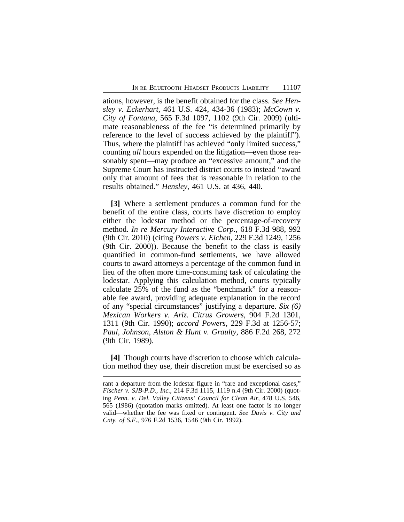ations, however, is the benefit obtained for the class. *See Hensley v. Eckerhart*, 461 U.S. 424, 434-36 (1983); *McCown v. City of Fontana*, 565 F.3d 1097, 1102 (9th Cir. 2009) (ultimate reasonableness of the fee "is determined primarily by reference to the level of success achieved by the plaintiff"). Thus, where the plaintiff has achieved "only limited success," counting *all* hours expended on the litigation—even those reasonably spent—may produce an "excessive amount," and the Supreme Court has instructed district courts to instead "award only that amount of fees that is reasonable in relation to the results obtained." *Hensley*, 461 U.S. at 436, 440.

**[3]** Where a settlement produces a common fund for the benefit of the entire class, courts have discretion to employ either the lodestar method or the percentage-of-recovery method. *In re Mercury Interactive Corp.*, 618 F.3d 988, 992 (9th Cir. 2010) (citing *Powers v. Eichen*, 229 F.3d 1249, 1256 (9th Cir. 2000)). Because the benefit to the class is easily quantified in common-fund settlements, we have allowed courts to award attorneys a percentage of the common fund in lieu of the often more time-consuming task of calculating the lodestar. Applying this calculation method, courts typically calculate 25% of the fund as the "benchmark" for a reasonable fee award, providing adequate explanation in the record of any "special circumstances" justifying a departure. *Six (6) Mexican Workers v. Ariz. Citrus Growers*, 904 F.2d 1301, 1311 (9th Cir. 1990); *accord Powers*, 229 F.3d at 1256-57; *Paul, Johnson, Alston & Hunt v. Graulty*, 886 F.2d 268, 272 (9th Cir. 1989).

**[4]** Though courts have discretion to choose which calculation method they use, their discretion must be exercised so as

rant a departure from the lodestar figure in "rare and exceptional cases," *Fischer v. SJB-P.D., Inc.*, 214 F.3d 1115, 1119 n.4 (9th Cir. 2000) (quoting *Penn. v. Del. Valley Citizens' Council for Clean Air*, 478 U.S. 546, 565 (1986) (quotation marks omitted). At least one factor is no longer valid—whether the fee was fixed or contingent. *See Davis v. City and Cnty. of S.F.*, 976 F.2d 1536, 1546 (9th Cir. 1992).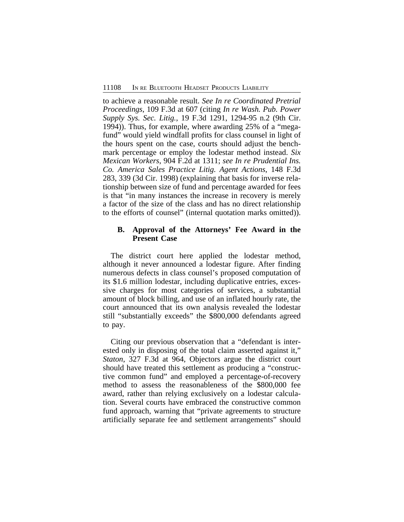to achieve a reasonable result. *See In re Coordinated Pretrial Proceedings*, 109 F.3d at 607 (citing *In re Wash. Pub. Power Supply Sys. Sec. Litig.*, 19 F.3d 1291, 1294-95 n.2 (9th Cir. 1994)). Thus, for example, where awarding 25% of a "megafund" would yield windfall profits for class counsel in light of the hours spent on the case, courts should adjust the benchmark percentage or employ the lodestar method instead. *Six Mexican Workers*, 904 F.2d at 1311; *see In re Prudential Ins. Co. America Sales Practice Litig. Agent Actions*, 148 F.3d 283, 339 (3d Cir. 1998) (explaining that basis for inverse relationship between size of fund and percentage awarded for fees is that "in many instances the increase in recovery is merely a factor of the size of the class and has no direct relationship to the efforts of counsel" (internal quotation marks omitted)).

## **B. Approval of the Attorneys' Fee Award in the Present Case**

The district court here applied the lodestar method, although it never announced a lodestar figure. After finding numerous defects in class counsel's proposed computation of its \$1.6 million lodestar, including duplicative entries, excessive charges for most categories of services, a substantial amount of block billing, and use of an inflated hourly rate, the court announced that its own analysis revealed the lodestar still "substantially exceeds" the \$800,000 defendants agreed to pay.

Citing our previous observation that a "defendant is interested only in disposing of the total claim asserted against it," *Staton*, 327 F.3d at 964, Objectors argue the district court should have treated this settlement as producing a "constructive common fund" and employed a percentage-of-recovery method to assess the reasonableness of the \$800,000 fee award, rather than relying exclusively on a lodestar calculation. Several courts have embraced the constructive common fund approach, warning that "private agreements to structure artificially separate fee and settlement arrangements" should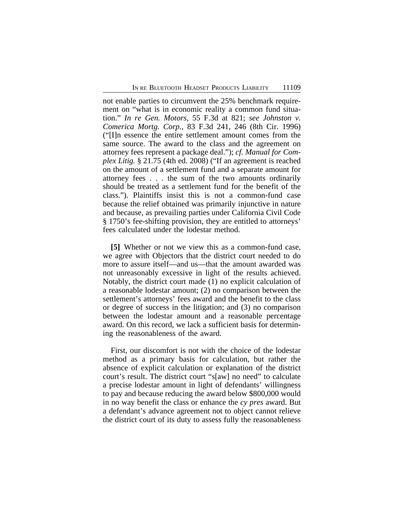not enable parties to circumvent the 25% benchmark requirement on "what is in economic reality a common fund situation." *In re Gen. Motors*, 55 F.3d at 821; *see Johnston v. Comerica Mortg. Corp.*, 83 F.3d 241, 246 (8th Cir. 1996) ("[I]n essence the entire settlement amount comes from the same source. The award to the class and the agreement on attorney fees represent a package deal."); *cf. Manual for Complex Litig.* § 21.75 (4th ed. 2008) ("If an agreement is reached on the amount of a settlement fund and a separate amount for attorney fees . . . the sum of the two amounts ordinarily should be treated as a settlement fund for the benefit of the class."). Plaintiffs insist this is not a common-fund case because the relief obtained was primarily injunctive in nature and because, as prevailing parties under California Civil Code § 1750's fee-shifting provision, they are entitled to attorneys' fees calculated under the lodestar method.

**[5]** Whether or not we view this as a common-fund case, we agree with Objectors that the district court needed to do more to assure itself—and us—that the amount awarded was not unreasonably excessive in light of the results achieved. Notably, the district court made (1) no explicit calculation of a reasonable lodestar amount; (2) no comparison between the settlement's attorneys' fees award and the benefit to the class or degree of success in the litigation; and (3) no comparison between the lodestar amount and a reasonable percentage award. On this record, we lack a sufficient basis for determining the reasonableness of the award.

First, our discomfort is not with the choice of the lodestar method as a primary basis for calculation, but rather the absence of explicit calculation or explanation of the district court's result. The district court "s[aw] no need" to calculate a precise lodestar amount in light of defendants' willingness to pay and because reducing the award below \$800,000 would in no way benefit the class or enhance the *cy pres* award. But a defendant's advance agreement not to object cannot relieve the district court of its duty to assess fully the reasonableness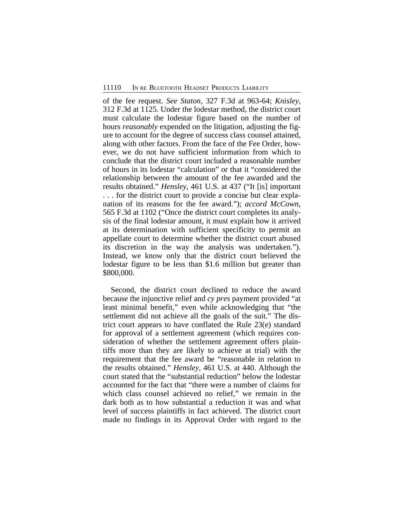of the fee request. *See Staton*, 327 F.3d at 963-64; *Knisley*, 312 F.3d at 1125. Under the lodestar method, the district court must calculate the lodestar figure based on the number of hours *reasonably* expended on the litigation, adjusting the figure to account for the degree of success class counsel attained, along with other factors. From the face of the Fee Order, however, we do not have sufficient information from which to conclude that the district court included a reasonable number of hours in its lodestar "calculation" or that it "considered the relationship between the amount of the fee awarded and the results obtained." *Hensley*, 461 U.S. at 437 ("It [is] important . . . for the district court to provide a concise but clear explanation of its reasons for the fee award."); *accord McCown*, 565 F.3d at 1102 ("Once the district court completes its analysis of the final lodestar amount, it must explain how it arrived at its determination with sufficient specificity to permit an appellate court to determine whether the district court abused its discretion in the way the analysis was undertaken."). Instead, we know only that the district court believed the lodestar figure to be less than \$1.6 million but greater than \$800,000.

Second, the district court declined to reduce the award because the injunctive relief and *cy pres* payment provided "at least minimal benefit," even while acknowledging that "the settlement did not achieve all the goals of the suit." The district court appears to have conflated the Rule 23(e) standard for approval of a settlement agreement (which requires consideration of whether the settlement agreement offers plaintiffs more than they are likely to achieve at trial) with the requirement that the fee award be "reasonable in relation to the results obtained." *Hensley*, 461 U.S. at 440. Although the court stated that the "substantial reduction" below the lodestar accounted for the fact that "there were a number of claims for which class counsel achieved no relief," we remain in the dark both as to how substantial a reduction it was and what level of success plaintiffs in fact achieved. The district court made no findings in its Approval Order with regard to the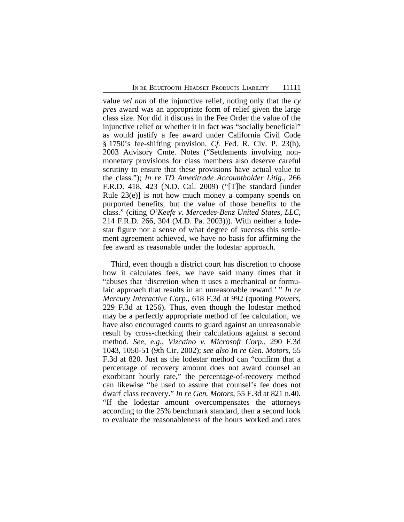value *vel non* of the injunctive relief, noting only that the *cy pres* award was an appropriate form of relief given the large class size. Nor did it discuss in the Fee Order the value of the injunctive relief or whether it in fact was "socially beneficial" as would justify a fee award under California Civil Code § 1750's fee-shifting provision. *Cf.* Fed. R. Civ. P. 23(h), 2003 Advisory Cmte. Notes ("Settlements involving nonmonetary provisions for class members also deserve careful scrutiny to ensure that these provisions have actual value to the class."); *In re TD Ameritrade Accountholder Litig.*, 266 F.R.D. 418, 423 (N.D. Cal. 2009) ("[T]he standard [under Rule  $23(e)$  is not how much money a company spends on purported benefits, but the value of those benefits to the class." (citing *O'Keefe v. Mercedes-Benz United States, LLC*, 214 F.R.D. 266, 304 (M.D. Pa. 2003))). With neither a lodestar figure nor a sense of what degree of success this settlement agreement achieved, we have no basis for affirming the fee award as reasonable under the lodestar approach.

Third, even though a district court has discretion to choose how it calculates fees, we have said many times that it "abuses that 'discretion when it uses a mechanical or formulaic approach that results in an unreasonable reward.' " *In re Mercury Interactive Corp.*, 618 F.3d at 992 (quoting *Powers*, 229 F.3d at 1256). Thus, even though the lodestar method may be a perfectly appropriate method of fee calculation, we have also encouraged courts to guard against an unreasonable result by cross-checking their calculations against a second method. *See, e.g.*, *Vizcaino v. Microsoft Corp.*, 290 F.3d 1043, 1050-51 (9th Cir. 2002); *see also In re Gen. Motors*, 55 F.3d at 820. Just as the lodestar method can "confirm that a percentage of recovery amount does not award counsel an exorbitant hourly rate," the percentage-of-recovery method can likewise "be used to assure that counsel's fee does not dwarf class recovery." *In re Gen. Motors*, 55 F.3d at 821 n.40. "If the lodestar amount overcompensates the attorneys according to the 25% benchmark standard, then a second look to evaluate the reasonableness of the hours worked and rates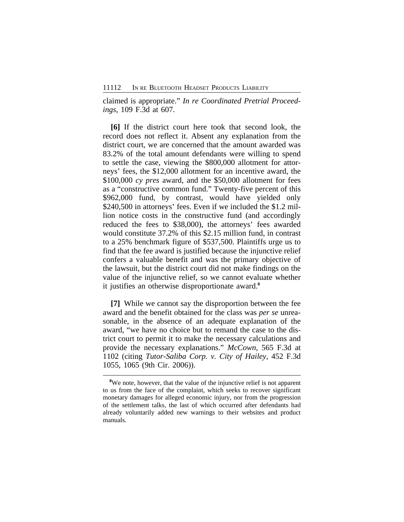claimed is appropriate." *In re Coordinated Pretrial Proceedings*, 109 F.3d at 607.

**[6]** If the district court here took that second look, the record does not reflect it. Absent any explanation from the district court, we are concerned that the amount awarded was 83.2% of the total amount defendants were willing to spend to settle the case, viewing the \$800,000 allotment for attorneys' fees, the \$12,000 allotment for an incentive award, the \$100,000 *cy pres* award, and the \$50,000 allotment for fees as a "constructive common fund." Twenty-five percent of this \$962,000 fund, by contrast, would have yielded only \$240,500 in attorneys' fees. Even if we included the \$1.2 million notice costs in the constructive fund (and accordingly reduced the fees to \$38,000), the attorneys' fees awarded would constitute 37.2% of this \$2.15 million fund, in contrast to a 25% benchmark figure of \$537,500. Plaintiffs urge us to find that the fee award is justified because the injunctive relief confers a valuable benefit and was the primary objective of the lawsuit, but the district court did not make findings on the value of the injunctive relief, so we cannot evaluate whether it justifies an otherwise disproportionate award.**<sup>8</sup>**

**[7]** While we cannot say the disproportion between the fee award and the benefit obtained for the class was *per se* unreasonable, in the absence of an adequate explanation of the award, "we have no choice but to remand the case to the district court to permit it to make the necessary calculations and provide the necessary explanations." *McCown*, 565 F.3d at 1102 (citing *Tutor-Saliba Corp. v. City of Hailey*, 452 F.3d 1055, 1065 (9th Cir. 2006)).

**<sup>8</sup>**We note, however, that the value of the injunctive relief is not apparent to us from the face of the complaint, which seeks to recover significant monetary damages for alleged economic injury, nor from the progression of the settlement talks, the last of which occurred after defendants had already voluntarily added new warnings to their websites and product manuals.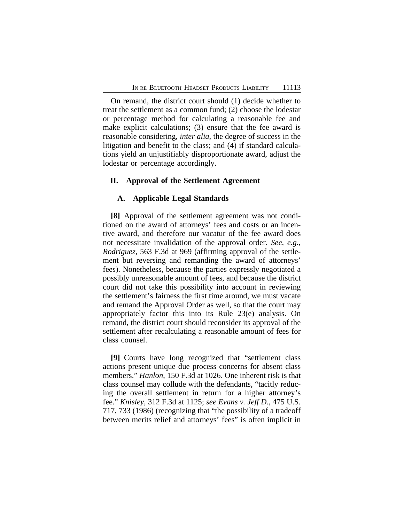On remand, the district court should (1) decide whether to treat the settlement as a common fund; (2) choose the lodestar or percentage method for calculating a reasonable fee and make explicit calculations; (3) ensure that the fee award is reasonable considering, *inter alia*, the degree of success in the litigation and benefit to the class; and (4) if standard calculations yield an unjustifiably disproportionate award, adjust the lodestar or percentage accordingly.

## **II. Approval of the Settlement Agreement**

#### **A. Applicable Legal Standards**

**[8]** Approval of the settlement agreement was not conditioned on the award of attorneys' fees and costs or an incentive award, and therefore our vacatur of the fee award does not necessitate invalidation of the approval order. *See, e.g.*, *Rodriguez*, 563 F.3d at 969 (affirming approval of the settlement but reversing and remanding the award of attorneys' fees). Nonetheless, because the parties expressly negotiated a possibly unreasonable amount of fees, and because the district court did not take this possibility into account in reviewing the settlement's fairness the first time around, we must vacate and remand the Approval Order as well, so that the court may appropriately factor this into its Rule 23(e) analysis. On remand, the district court should reconsider its approval of the settlement after recalculating a reasonable amount of fees for class counsel.

**[9]** Courts have long recognized that "settlement class actions present unique due process concerns for absent class members." *Hanlon*, 150 F.3d at 1026. One inherent risk is that class counsel may collude with the defendants, "tacitly reducing the overall settlement in return for a higher attorney's fee." *Knisley*, 312 F.3d at 1125; *see Evans v. Jeff D.*, 475 U.S. 717, 733 (1986) (recognizing that "the possibility of a tradeoff between merits relief and attorneys' fees" is often implicit in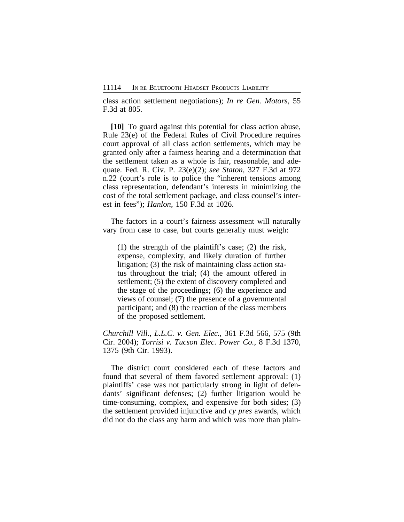class action settlement negotiations); *In re Gen. Motors*, 55 F.3d at 805.

**[10]** To guard against this potential for class action abuse, Rule 23(e) of the Federal Rules of Civil Procedure requires court approval of all class action settlements, which may be granted only after a fairness hearing and a determination that the settlement taken as a whole is fair, reasonable, and adequate. Fed. R. Civ. P. 23(e)(2); *see Staton*, 327 F.3d at 972 n.22 (court's role is to police the "inherent tensions among class representation, defendant's interests in minimizing the cost of the total settlement package, and class counsel's interest in fees"); *Hanlon*, 150 F.3d at 1026.

The factors in a court's fairness assessment will naturally vary from case to case, but courts generally must weigh:

(1) the strength of the plaintiff's case; (2) the risk, expense, complexity, and likely duration of further litigation; (3) the risk of maintaining class action status throughout the trial; (4) the amount offered in settlement; (5) the extent of discovery completed and the stage of the proceedings; (6) the experience and views of counsel; (7) the presence of a governmental participant; and (8) the reaction of the class members of the proposed settlement.

*Churchill Vill., L.L.C. v. Gen. Elec.*, 361 F.3d 566, 575 (9th Cir. 2004); *Torrisi v. Tucson Elec. Power Co.*, 8 F.3d 1370, 1375 (9th Cir. 1993).

The district court considered each of these factors and found that several of them favored settlement approval: (1) plaintiffs' case was not particularly strong in light of defendants' significant defenses; (2) further litigation would be time-consuming, complex, and expensive for both sides; (3) the settlement provided injunctive and *cy pres* awards, which did not do the class any harm and which was more than plain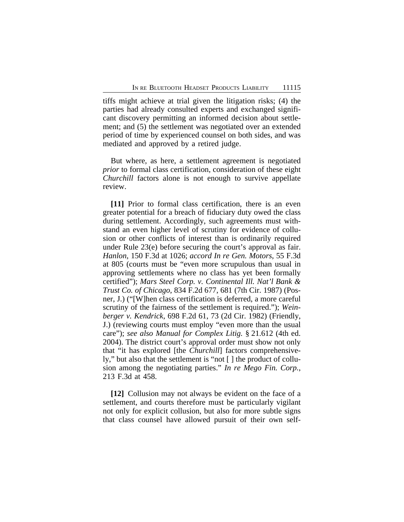tiffs might achieve at trial given the litigation risks; (4) the parties had already consulted experts and exchanged significant discovery permitting an informed decision about settlement; and (5) the settlement was negotiated over an extended period of time by experienced counsel on both sides, and was mediated and approved by a retired judge.

But where, as here, a settlement agreement is negotiated *prior* to formal class certification, consideration of these eight *Churchill* factors alone is not enough to survive appellate review.

**[11]** Prior to formal class certification, there is an even greater potential for a breach of fiduciary duty owed the class during settlement. Accordingly, such agreements must withstand an even higher level of scrutiny for evidence of collusion or other conflicts of interest than is ordinarily required under Rule 23(e) before securing the court's approval as fair. *Hanlon*, 150 F.3d at 1026; *accord In re Gen. Motors*, 55 F.3d at 805 (courts must be "even more scrupulous than usual in approving settlements where no class has yet been formally certified"); *Mars Steel Corp. v. Continental Ill. Nat'l Bank & Trust Co. of Chicago*, 834 F.2d 677, 681 (7th Cir. 1987) (Posner, J.) ("[W]hen class certification is deferred, a more careful scrutiny of the fairness of the settlement is required."); *Weinberger v. Kendrick*, 698 F.2d 61, 73 (2d Cir. 1982) (Friendly, J.) (reviewing courts must employ "even more than the usual care"); *see also Manual for Complex Litig.* § 21.612 (4th ed. 2004). The district court's approval order must show not only that "it has explored [the *Churchill*] factors comprehensively," but also that the settlement is "not [ ] the product of collusion among the negotiating parties." *In re Mego Fin. Corp.*, 213 F.3d at 458.

**[12]** Collusion may not always be evident on the face of a settlement, and courts therefore must be particularly vigilant not only for explicit collusion, but also for more subtle signs that class counsel have allowed pursuit of their own self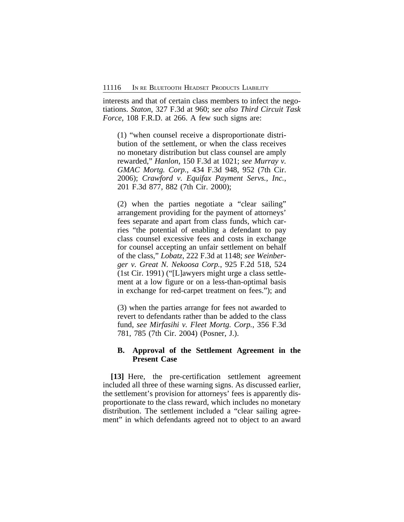interests and that of certain class members to infect the negotiations. *Staton*, 327 F.3d at 960; *see also Third Circuit Task Force*, 108 F.R.D. at 266. A few such signs are:

(1) "when counsel receive a disproportionate distribution of the settlement, or when the class receives no monetary distribution but class counsel are amply rewarded," *Hanlon*, 150 F.3d at 1021; *see Murray v. GMAC Mortg. Corp.*, 434 F.3d 948, 952 (7th Cir. 2006); *Crawford v. Equifax Payment Servs., Inc.*, 201 F.3d 877, 882 (7th Cir. 2000);

(2) when the parties negotiate a "clear sailing" arrangement providing for the payment of attorneys' fees separate and apart from class funds, which carries "the potential of enabling a defendant to pay class counsel excessive fees and costs in exchange for counsel accepting an unfair settlement on behalf of the class," *Lobatz*, 222 F.3d at 1148; *see Weinberger v. Great N. Nekoosa Corp.*, 925 F.2d 518, 524 (1st Cir. 1991) ("[L]awyers might urge a class settlement at a low figure or on a less-than-optimal basis in exchange for red-carpet treatment on fees."); and

(3) when the parties arrange for fees not awarded to revert to defendants rather than be added to the class fund, *see Mirfasihi v. Fleet Mortg. Corp.*, 356 F.3d 781, 785 (7th Cir. 2004) (Posner, J.).

## **B. Approval of the Settlement Agreement in the Present Case**

**[13]** Here, the pre-certification settlement agreement included all three of these warning signs. As discussed earlier, the settlement's provision for attorneys' fees is apparently disproportionate to the class reward, which includes no monetary distribution. The settlement included a "clear sailing agreement" in which defendants agreed not to object to an award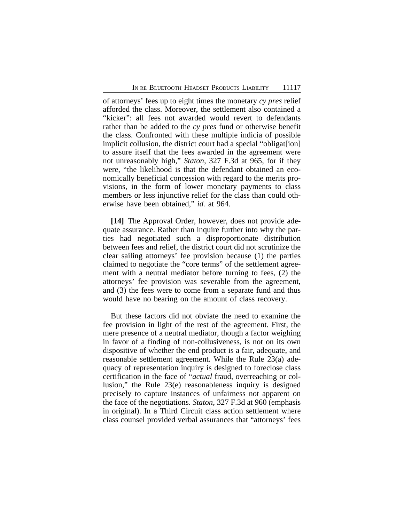of attorneys' fees up to eight times the monetary *cy pres* relief afforded the class. Moreover, the settlement also contained a "kicker": all fees not awarded would revert to defendants rather than be added to the *cy pres* fund or otherwise benefit the class. Confronted with these multiple indicia of possible implicit collusion, the district court had a special "obligate ion" to assure itself that the fees awarded in the agreement were not unreasonably high," *Staton*, 327 F.3d at 965, for if they were, "the likelihood is that the defendant obtained an economically beneficial concession with regard to the merits provisions, in the form of lower monetary payments to class members or less injunctive relief for the class than could otherwise have been obtained," *id.* at 964.

**[14]** The Approval Order, however, does not provide adequate assurance. Rather than inquire further into why the parties had negotiated such a disproportionate distribution between fees and relief, the district court did not scrutinize the clear sailing attorneys' fee provision because (1) the parties claimed to negotiate the "core terms" of the settlement agreement with a neutral mediator before turning to fees, (2) the attorneys' fee provision was severable from the agreement, and (3) the fees were to come from a separate fund and thus would have no bearing on the amount of class recovery.

But these factors did not obviate the need to examine the fee provision in light of the rest of the agreement. First, the mere presence of a neutral mediator, though a factor weighing in favor of a finding of non-collusiveness, is not on its own dispositive of whether the end product is a fair, adequate, and reasonable settlement agreement. While the Rule 23(a) adequacy of representation inquiry is designed to foreclose class certification in the face of "*actual* fraud, overreaching or collusion," the Rule 23(e) reasonableness inquiry is designed precisely to capture instances of unfairness not apparent on the face of the negotiations. *Staton*, 327 F.3d at 960 (emphasis in original). In a Third Circuit class action settlement where class counsel provided verbal assurances that "attorneys' fees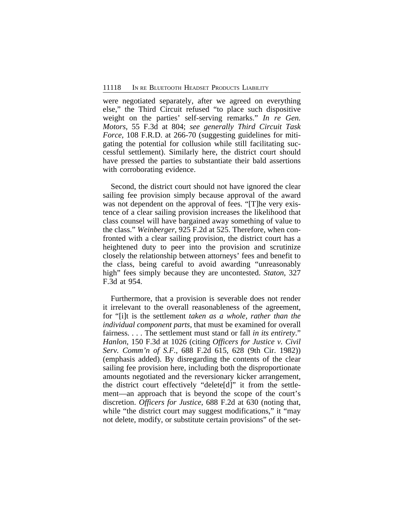were negotiated separately, after we agreed on everything else," the Third Circuit refused "to place such dispositive weight on the parties' self-serving remarks." *In re Gen. Motors*, 55 F.3d at 804; *see generally Third Circuit Task Force*, 108 F.R.D. at 266-70 (suggesting guidelines for mitigating the potential for collusion while still facilitating successful settlement). Similarly here, the district court should have pressed the parties to substantiate their bald assertions with corroborating evidence.

Second, the district court should not have ignored the clear sailing fee provision simply because approval of the award was not dependent on the approval of fees. "[T]he very existence of a clear sailing provision increases the likelihood that class counsel will have bargained away something of value to the class." *Weinberger*, 925 F.2d at 525. Therefore, when confronted with a clear sailing provision, the district court has a heightened duty to peer into the provision and scrutinize closely the relationship between attorneys' fees and benefit to the class, being careful to avoid awarding "unreasonably high" fees simply because they are uncontested. *Staton*, 327 F.3d at 954.

Furthermore, that a provision is severable does not render it irrelevant to the overall reasonableness of the agreement, for "[i]t is the settlement *taken as a whole, rather than the individual component parts*, that must be examined for overall fairness. . . . The settlement must stand or fall *in its entirety*." *Hanlon*, 150 F.3d at 1026 (citing *Officers for Justice v. Civil Serv. Comm'n of S.F.*, 688 F.2d 615, 628 (9th Cir. 1982)) (emphasis added). By disregarding the contents of the clear sailing fee provision here, including both the disproportionate amounts negotiated and the reversionary kicker arrangement, the district court effectively "delete[d]" it from the settlement—an approach that is beyond the scope of the court's discretion. *Officers for Justice*, 688 F.2d at 630 (noting that, while "the district court may suggest modifications," it "may not delete, modify, or substitute certain provisions" of the set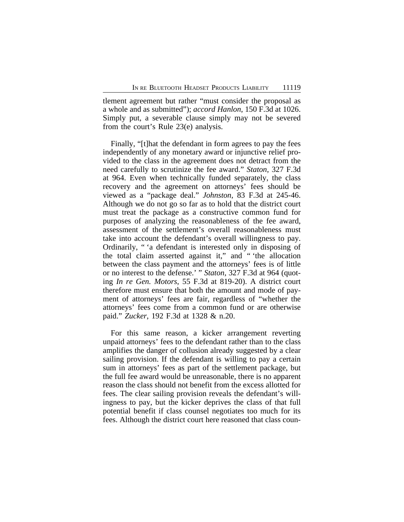tlement agreement but rather "must consider the proposal as a whole and as submitted"); *accord Hanlon*, 150 F.3d at 1026. Simply put, a severable clause simply may not be severed from the court's Rule 23(e) analysis.

Finally, "[t]hat the defendant in form agrees to pay the fees independently of any monetary award or injunctive relief provided to the class in the agreement does not detract from the need carefully to scrutinize the fee award." *Staton*, 327 F.3d at 964. Even when technically funded separately, the class recovery and the agreement on attorneys' fees should be viewed as a "package deal." *Johnston*, 83 F.3d at 245-46. Although we do not go so far as to hold that the district court must treat the package as a constructive common fund for purposes of analyzing the reasonableness of the fee award, assessment of the settlement's overall reasonableness must take into account the defendant's overall willingness to pay. Ordinarily, " 'a defendant is interested only in disposing of the total claim asserted against it," and " 'the allocation between the class payment and the attorneys' fees is of little or no interest to the defense.' " *Staton*, 327 F.3d at 964 (quoting *In re Gen. Motors*, 55 F.3d at 819-20). A district court therefore must ensure that both the amount and mode of payment of attorneys' fees are fair, regardless of "whether the attorneys' fees come from a common fund or are otherwise paid." *Zucker*, 192 F.3d at 1328 & n.20.

For this same reason, a kicker arrangement reverting unpaid attorneys' fees to the defendant rather than to the class amplifies the danger of collusion already suggested by a clear sailing provision. If the defendant is willing to pay a certain sum in attorneys' fees as part of the settlement package, but the full fee award would be unreasonable, there is no apparent reason the class should not benefit from the excess allotted for fees. The clear sailing provision reveals the defendant's willingness to pay, but the kicker deprives the class of that full potential benefit if class counsel negotiates too much for its fees. Although the district court here reasoned that class coun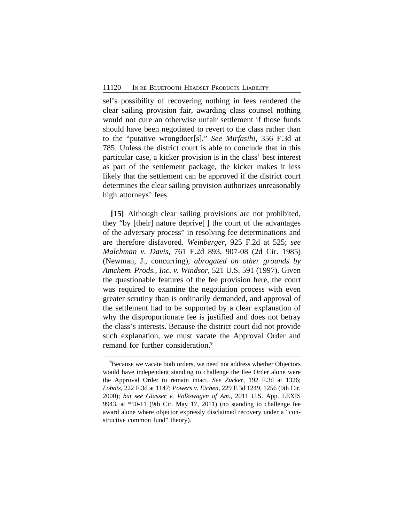sel's possibility of recovering nothing in fees rendered the clear sailing provision fair, awarding class counsel nothing would not cure an otherwise unfair settlement if those funds should have been negotiated to revert to the class rather than to the "putative wrongdoer[s]." *See Mirfasihi*, 356 F.3d at 785. Unless the district court is able to conclude that in this particular case, a kicker provision is in the class' best interest as part of the settlement package, the kicker makes it less likely that the settlement can be approved if the district court determines the clear sailing provision authorizes unreasonably high attorneys' fees.

**[15]** Although clear sailing provisions are not prohibited, they "by [their] nature deprive[ ] the court of the advantages of the adversary process" in resolving fee determinations and are therefore disfavored. *Weinberger*, 925 F.2d at 525; *see Malchman v. Davis*, 761 F.2d 893, 907-08 (2d Cir. 1985) (Newman, J., concurring), *abrogated on other grounds by Amchem. Prods., Inc. v. Windsor*, 521 U.S. 591 (1997). Given the questionable features of the fee provision here, the court was required to examine the negotiation process with even greater scrutiny than is ordinarily demanded, and approval of the settlement had to be supported by a clear explanation of why the disproportionate fee is justified and does not betray the class's interests. Because the district court did not provide such explanation, we must vacate the Approval Order and remand for further consideration.**<sup>9</sup>**

<sup>&</sup>lt;sup>9</sup>Because we vacate both orders, we need not address whether Objectors would have independent standing to challenge the Fee Order alone were the Approval Order to remain intact. *See Zucker*, 192 F.3d at 1326; *Lobatz*, 222 F.3d at 1147; *Powers v. Eichen*, 229 F.3d 1249, 1256 (9th Cir. 2000); *but see Glasser v. Volkswagen of Am.*, 2011 U.S. App. LEXIS 9943, at \*10-11 (9th Cir. May 17, 2011) (no standing to challenge fee award alone where objector expressly disclaimed recovery under a "constructive common fund" theory).